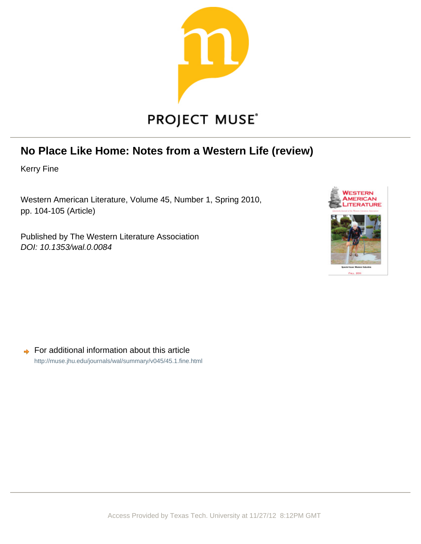

## **No Place Like Home: Notes from a Western Life (review)**

Kerry Fine

Western American Literature, Volume 45, Number 1, Spring 2010, pp. 104-105 (Article)

Published by The Western Literature Association DOI: 10.1353/wal.0.0084



For additional information about this article  $\Rightarrow$ <http://muse.jhu.edu/journals/wal/summary/v045/45.1.fine.html>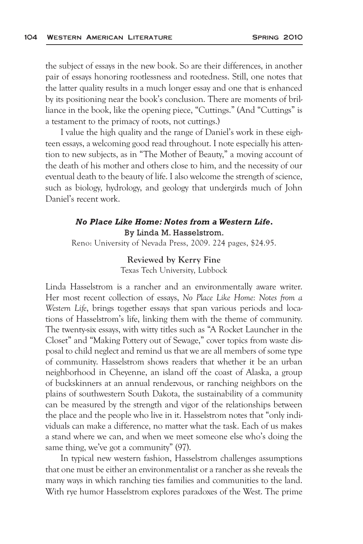the subject of essays in the new book. So are their differences, in another pair of essays honoring rootlessness and rootedness. Still, one notes that the latter quality results in a much longer essay and one that is enhanced by its positioning near the book's conclusion. There are moments of brilliance in the book, like the opening piece, "Cuttings." (And "Cuttings" is a testament to the primacy of roots, not cuttings.)

I value the high quality and the range of Daniel's work in these eighteen essays, a welcoming good read throughout. I note especially his attention to new subjects, as in "The Mother of Beauty," a moving account of the death of his mother and others close to him, and the necessity of our eventual death to the beauty of life. I also welcome the strength of science, such as biology, hydrology, and geology that undergirds much of John Daniel's recent work.

## *No Place Like Home: Notes from a Western Life***.**  By Linda M. Hasselstrom.

Reno: University of Nevada Press, 2009. 224 pages, \$24.95.

## **Reviewed by Kerry Fine**

Texas Tech University, Lubbock

Linda Hasselstrom is a rancher and an environmentally aware writer. Her most recent collection of essays, *No Place Like Home: Notes from a Western Life*, brings together essays that span various periods and locations of Hasselstrom's life, linking them with the theme of community. The twenty-six essays, with witty titles such as "A Rocket Launcher in the Closet" and "Making Pottery out of Sewage," cover topics from waste disposal to child neglect and remind us that we are all members of some type of community. Hasselstrom shows readers that whether it be an urban neighborhood in Cheyenne, an island off the coast of Alaska, a group of buckskinners at an annual rendezvous, or ranching neighbors on the plains of southwestern South Dakota, the sustainability of a community can be measured by the strength and vigor of the relationships between the place and the people who live in it. Hasselstrom notes that "only individuals can make a difference, no matter what the task. Each of us makes a stand where we can, and when we meet someone else who's doing the same thing, we've got a community" (97).

In typical new western fashion, Hasselstrom challenges assumptions that one must be either an environmentalist or a rancher as she reveals the many ways in which ranching ties families and communities to the land. With rye humor Hasselstrom explores paradoxes of the West. The prime